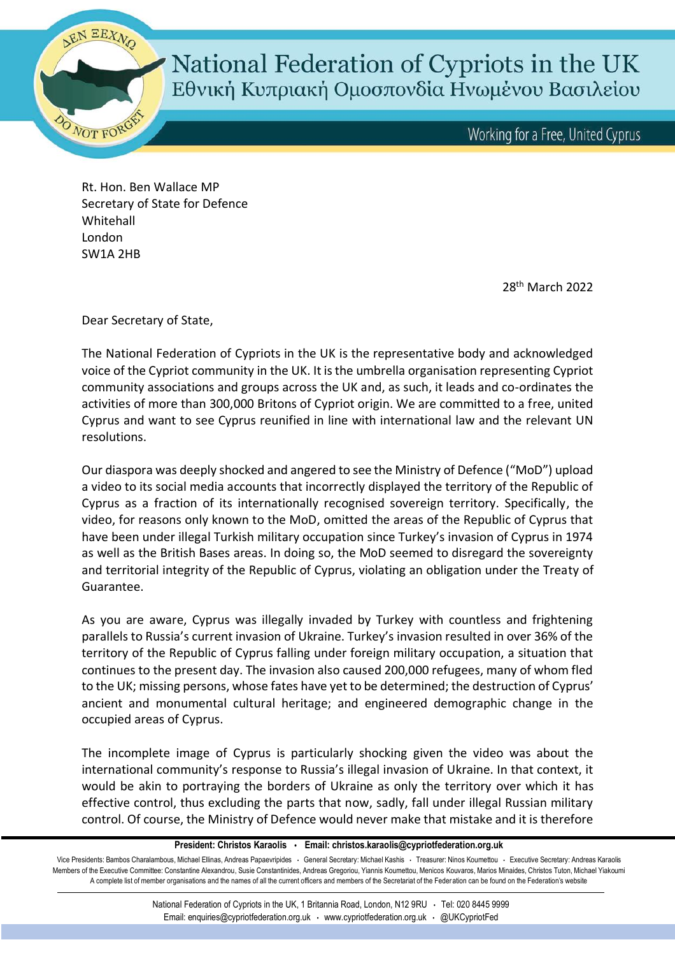## National Federation of Cypriots in the UK Εθνική Κυπριακή Ομοσπονδία Ηνωμένου Βασιλείου

Working for a Free, United Cyprus

Rt. Hon. Ben Wallace MP Secretary of State for Defence **Whitehall** London SW1A 2HB

DEN EEXNO

DO NOT FORGE

28th March 2022

Dear Secretary of State,

The National Federation of Cypriots in the UK is the representative body and acknowledged voice of the Cypriot community in the UK. It is the umbrella organisation representing Cypriot community associations and groups across the UK and, as such, it leads and co-ordinates the activities of more than 300,000 Britons of Cypriot origin. We are committed to a free, united Cyprus and want to see Cyprus reunified in line with international law and the relevant UN resolutions.

Our diaspora was deeply shocked and angered to see the Ministry of Defence ("MoD") upload a video to its social media accounts that incorrectly displayed the territory of the Republic of Cyprus as a fraction of its internationally recognised sovereign territory. Specifically, the video, for reasons only known to the MoD, omitted the areas of the Republic of Cyprus that have been under illegal Turkish military occupation since Turkey's invasion of Cyprus in 1974 as well as the British Bases areas. In doing so, the MoD seemed to disregard the sovereignty and territorial integrity of the Republic of Cyprus, violating an obligation under the Treaty of Guarantee.

As you are aware, Cyprus was illegally invaded by Turkey with countless and frightening parallels to Russia's current invasion of Ukraine. Turkey's invasion resulted in over 36% of the territory of the Republic of Cyprus falling under foreign military occupation, a situation that continues to the present day. The invasion also caused 200,000 refugees, many of whom fled to the UK; missing persons, whose fates have yet to be determined; the destruction of Cyprus' ancient and monumental cultural heritage; and engineered demographic change in the occupied areas of Cyprus.

The incomplete image of Cyprus is particularly shocking given the video was about the international community's response to Russia's illegal invasion of Ukraine. In that context, it would be akin to portraying the borders of Ukraine as only the territory over which it has effective control, thus excluding the parts that now, sadly, fall under illegal Russian military control. Of course, the Ministry of Defence would never make that mistake and it is therefore

Vice Presidents: Bambos Charalambous, Michael Ellinas, Andreas Papaevripides · General Secretary: Michael Kashis · Treasurer: Ninos Koumettou · Executive Secretary: Andreas Karaolis Members of the Executive Committee: Constantine Alexandrou, Susie Constantinides, Andreas Gregoriou, Yiannis Koumettou, Menicos Kouvaros, Marios Minaides, Christos Tuton, Michael Yiakoumi A complete list of member organisations and the names of all the current officers and members of the Secretariat of the Federation can be found on the Federation's website

> National Federation of Cypriots in the UK, 1 Britannia Road, London, N12 9RU • Tel: 020 8445 9999 Email: enquiries@cypriotfederation.org.uk • www.cypriotfederation.org.uk • @UKCypriotFed

**President: Christos Karaolis • Email: christos.karaolis@cypriotfederation.org.uk**